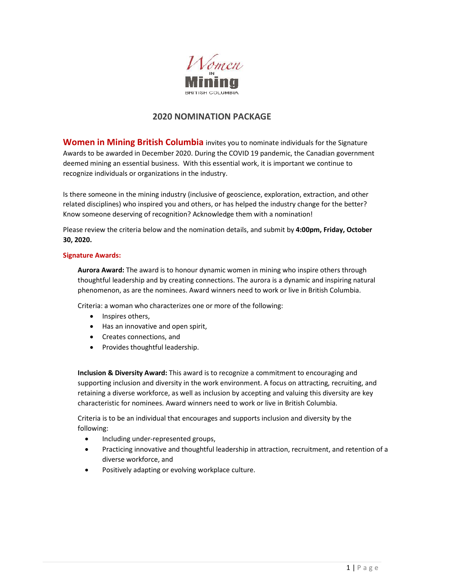

# **2020 NOMINATION PACKAGE**

**Women in Mining British Columbia** invites you to nominate individuals for the Signature Awards to be awarded in December 2020. During the COVID 19 pandemic, the Canadian government deemed mining an essential business. With this essential work, it is important we continue to recognize individuals or organizations in the industry.

Is there someone in the mining industry (inclusive of geoscience, exploration, extraction, and other related disciplines) who inspired you and others, or has helped the industry change for the better? Know someone deserving of recognition? Acknowledge them with a nomination!

Please review the criteria below and the nomination details, and submit by **4:00pm, Friday, October 30, 2020.** 

## **Signature Awards:**

**Aurora Award:** The award is to honour dynamic women in mining who inspire others through thoughtful leadership and by creating connections. The aurora is a dynamic and inspiring natural phenomenon, as are the nominees. Award winners need to work or live in British Columbia.

Criteria: a woman who characterizes one or more of the following:

- Inspires others,
- Has an innovative and open spirit,
- Creates connections, and
- Provides thoughtful leadership.

**Inclusion & Diversity Award:** This award is to recognize a commitment to encouraging and supporting inclusion and diversity in the work environment. A focus on attracting, recruiting, and retaining a diverse workforce, as well as inclusion by accepting and valuing this diversity are key characteristic for nominees. Award winners need to work or live in British Columbia.

Criteria is to be an individual that encourages and supports inclusion and diversity by the following:

- Including under-represented groups,
- Practicing innovative and thoughtful leadership in attraction, recruitment, and retention of a diverse workforce, and
- Positively adapting or evolving workplace culture.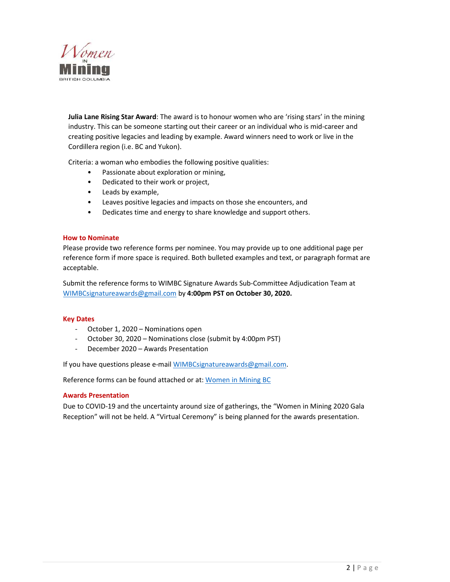

**Julia Lane Rising Star Award**: The award is to honour women who are 'rising stars' in the mining industry. This can be someone starting out their career or an individual who is mid-career and creating positive legacies and leading by example. Award winners need to work or live in the Cordillera region (i.e. BC and Yukon).

Criteria: a woman who embodies the following positive qualities:

- Passionate about exploration or mining,
- Dedicated to their work or project,
- Leads by example,
- Leaves positive legacies and impacts on those she encounters, and
- Dedicates time and energy to share knowledge and support others.

#### **How to Nominate**

Please provide two reference forms per nominee. You may provide up to one additional page per reference form if more space is required. Both bulleted examples and text, or paragraph format are acceptable.

Submit the reference forms to WIMBC Signature Awards Sub-Committee Adjudication Team at WIMBCsignatureawards@gmail.com by **4:00pm PST on October 30, 2020.**

## **Key Dates**

- October 1, 2020 Nominations open
- October 30, 2020 Nominations close (submit by 4:00pm PST)
- December 2020 Awards Presentation

If you have questions please e-mail WIMBCsignatureawards@gmail.com.

Reference forms can be found attached or at: Women in Mining BC

## **Awards Presentation**

Due to COVID-19 and the uncertainty around size of gatherings, the "Women in Mining 2020 Gala Reception" will not be held. A "Virtual Ceremony" is being planned for the awards presentation.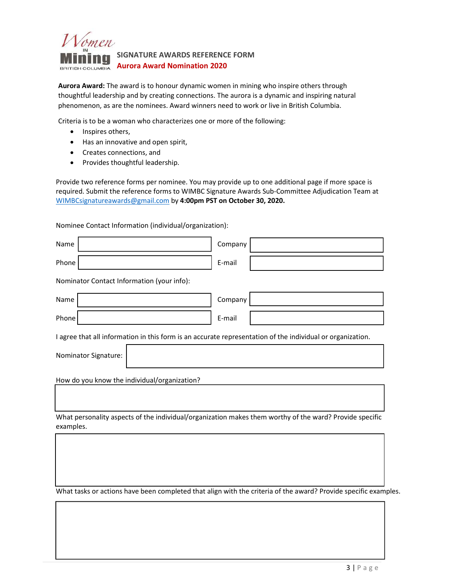

**Aurora Award:** The award is to honour dynamic women in mining who inspire others through thoughtful leadership and by creating connections. The aurora is a dynamic and inspiring natural phenomenon, as are the nominees. Award winners need to work or live in British Columbia.

Criteria is to be a woman who characterizes one or more of the following:

- Inspires others,
- Has an innovative and open spirit,
- Creates connections, and
- Provides thoughtful leadership.

Provide two reference forms per nominee. You may provide up to one additional page if more space is required. Submit the reference forms to WIMBC Signature Awards Sub-Committee Adjudication Team at WIMBCsignatureawards@gmail.com by **4:00pm PST on October 30, 2020.** 

Nominee Contact Information (individual/organization):

| Name                                                                                                                 | Company |  |  |  |  |  |
|----------------------------------------------------------------------------------------------------------------------|---------|--|--|--|--|--|
| Phone                                                                                                                | E-mail  |  |  |  |  |  |
| Nominator Contact Information (your info):                                                                           |         |  |  |  |  |  |
| Name                                                                                                                 | Company |  |  |  |  |  |
| Phone                                                                                                                | E-mail  |  |  |  |  |  |
| I agree that all information in this form is an accurate representation of the individual or organization.           |         |  |  |  |  |  |
| Nominator Signature:                                                                                                 |         |  |  |  |  |  |
| How do you know the individual/organization?                                                                         |         |  |  |  |  |  |
|                                                                                                                      |         |  |  |  |  |  |
| What personality aspects of the individual/organization makes them worthy of the ward? Provide specific<br>examples. |         |  |  |  |  |  |
|                                                                                                                      |         |  |  |  |  |  |
|                                                                                                                      |         |  |  |  |  |  |
|                                                                                                                      |         |  |  |  |  |  |

What tasks or actions have been completed that align with the criteria of the award? Provide specific examples.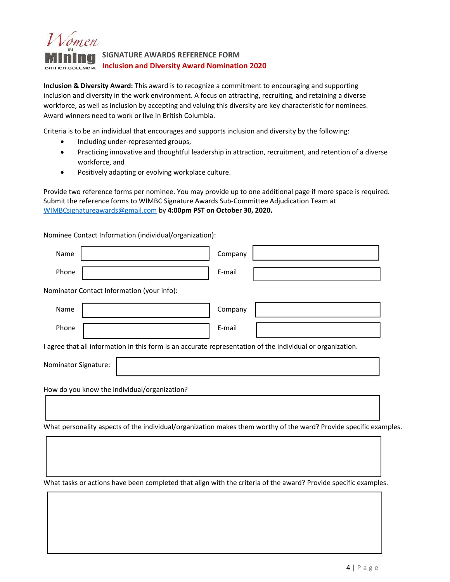

**Inclusion & Diversity Award:** This award is to recognize a commitment to encouraging and supporting inclusion and diversity in the work environment. A focus on attracting, recruiting, and retaining a diverse workforce, as well as inclusion by accepting and valuing this diversity are key characteristic for nominees. Award winners need to work or live in British Columbia.

Criteria is to be an individual that encourages and supports inclusion and diversity by the following:

- Including under-represented groups,
- Practicing innovative and thoughtful leadership in attraction, recruitment, and retention of a diverse workforce, and
- Positively adapting or evolving workplace culture.

Provide two reference forms per nominee. You may provide up to one additional page if more space is required. Submit the reference forms to WIMBC Signature Awards Sub-Committee Adjudication Team at WIMBCsignatureawards@gmail.com by **4:00pm PST on October 30, 2020.**

Nominee Contact Information (individual/organization):

| Name                                         |                                                                                                            | Company |                                                                                                                   |  |  |  |  |
|----------------------------------------------|------------------------------------------------------------------------------------------------------------|---------|-------------------------------------------------------------------------------------------------------------------|--|--|--|--|
| Phone                                        |                                                                                                            | E-mail  |                                                                                                                   |  |  |  |  |
|                                              | Nominator Contact Information (your info):                                                                 |         |                                                                                                                   |  |  |  |  |
| Name                                         |                                                                                                            | Company |                                                                                                                   |  |  |  |  |
| Phone                                        |                                                                                                            | E-mail  |                                                                                                                   |  |  |  |  |
|                                              | I agree that all information in this form is an accurate representation of the individual or organization. |         |                                                                                                                   |  |  |  |  |
| Nominator Signature:                         |                                                                                                            |         |                                                                                                                   |  |  |  |  |
| How do you know the individual/organization? |                                                                                                            |         |                                                                                                                   |  |  |  |  |
|                                              |                                                                                                            |         | What personality aspects of the individual/organization makes them worthy of the ward? Provide specific examples. |  |  |  |  |
|                                              |                                                                                                            |         |                                                                                                                   |  |  |  |  |

What tasks or actions have been completed that align with the criteria of the award? Provide specific examples.